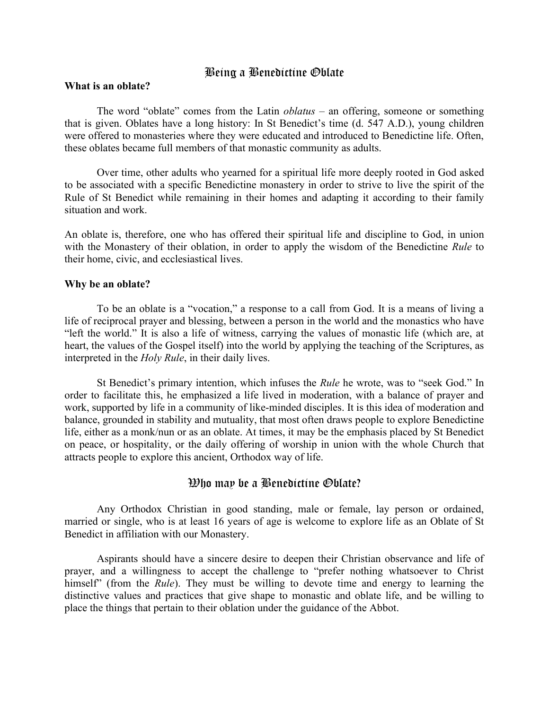## Being a Benedictine Oblate

#### **What is an oblate?**

The word "oblate" comes from the Latin *oblatus* – an offering, someone or something that is given. Oblates have a long history: In St Benedict's time (d. 547 A.D.), young children were offered to monasteries where they were educated and introduced to Benedictine life. Often, these oblates became full members of that monastic community as adults.

Over time, other adults who yearned for a spiritual life more deeply rooted in God asked to be associated with a specific Benedictine monastery in order to strive to live the spirit of the Rule of St Benedict while remaining in their homes and adapting it according to their family situation and work.

An oblate is, therefore, one who has offered their spiritual life and discipline to God, in union with the Monastery of their oblation, in order to apply the wisdom of the Benedictine *Rule* to their home, civic, and ecclesiastical lives.

### **Why be an oblate?**

To be an oblate is a "vocation," a response to a call from God. It is a means of living a life of reciprocal prayer and blessing, between a person in the world and the monastics who have "left the world." It is also a life of witness, carrying the values of monastic life (which are, at heart, the values of the Gospel itself) into the world by applying the teaching of the Scriptures, as interpreted in the *Holy Rule*, in their daily lives.

St Benedict's primary intention, which infuses the *Rule* he wrote, was to "seek God." In order to facilitate this, he emphasized a life lived in moderation, with a balance of prayer and work, supported by life in a community of like-minded disciples. It is this idea of moderation and balance, grounded in stability and mutuality, that most often draws people to explore Benedictine life, either as a monk/nun or as an oblate. At times, it may be the emphasis placed by St Benedict on peace, or hospitality, or the daily offering of worship in union with the whole Church that attracts people to explore this ancient, Orthodox way of life.

## Who may be a Benedictine Oblate?

Any Orthodox Christian in good standing, male or female, lay person or ordained, married or single, who is at least 16 years of age is welcome to explore life as an Oblate of St Benedict in affiliation with our Monastery.

Aspirants should have a sincere desire to deepen their Christian observance and life of prayer, and a willingness to accept the challenge to "prefer nothing whatsoever to Christ himself" (from the *Rule*). They must be willing to devote time and energy to learning the distinctive values and practices that give shape to monastic and oblate life, and be willing to place the things that pertain to their oblation under the guidance of the Abbot.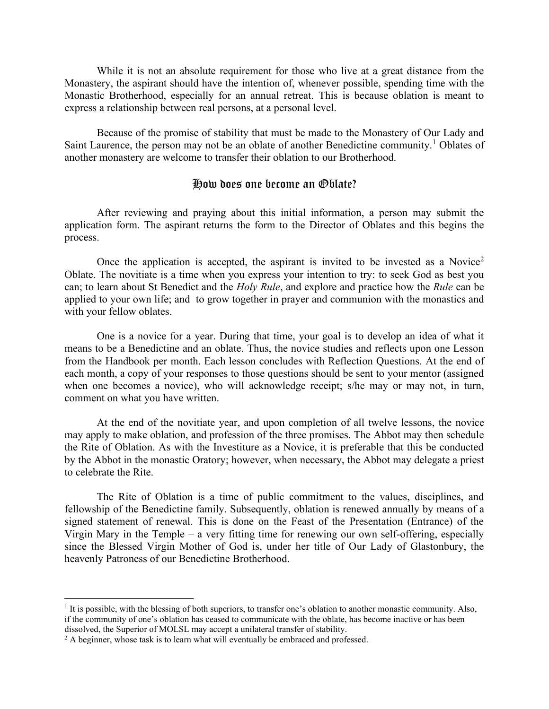While it is not an absolute requirement for those who live at a great distance from the Monastery, the aspirant should have the intention of, whenever possible, spending time with the Monastic Brotherhood, especially for an annual retreat. This is because oblation is meant to express a relationship between real persons, at a personal level.

Because of the promise of stability that must be made to the Monastery of Our Lady and Saint Laurence, the person may not be an oblate of another Benedictine community.<sup>1</sup> Oblates of another monastery are welcome to transfer their oblation to our Brotherhood.

### How does one become an Oblate?

After reviewing and praying about this initial information, a person may submit the application form. The aspirant returns the form to the Director of Oblates and this begins the process.

Once the application is accepted, the aspirant is invited to be invested as a Novice<sup>2</sup> Oblate. The novitiate is a time when you express your intention to try: to seek God as best you can; to learn about St Benedict and the *Holy Rule*, and explore and practice how the *Rule* can be applied to your own life; and to grow together in prayer and communion with the monastics and with your fellow oblates.

One is a novice for a year. During that time, your goal is to develop an idea of what it means to be a Benedictine and an oblate. Thus, the novice studies and reflects upon one Lesson from the Handbook per month. Each lesson concludes with Reflection Questions. At the end of each month, a copy of your responses to those questions should be sent to your mentor (assigned when one becomes a novice), who will acknowledge receipt; s/he may or may not, in turn, comment on what you have written.

At the end of the novitiate year, and upon completion of all twelve lessons, the novice may apply to make oblation, and profession of the three promises. The Abbot may then schedule the Rite of Oblation. As with the Investiture as a Novice, it is preferable that this be conducted by the Abbot in the monastic Oratory; however, when necessary, the Abbot may delegate a priest to celebrate the Rite.

The Rite of Oblation is a time of public commitment to the values, disciplines, and fellowship of the Benedictine family. Subsequently, oblation is renewed annually by means of a signed statement of renewal. This is done on the Feast of the Presentation (Entrance) of the Virgin Mary in the Temple – a very fitting time for renewing our own self-offering, especially since the Blessed Virgin Mother of God is, under her title of Our Lady of Glastonbury, the heavenly Patroness of our Benedictine Brotherhood.

<sup>&</sup>lt;sup>1</sup> It is possible, with the blessing of both superiors, to transfer one's oblation to another monastic community. Also, if the community of one's oblation has ceased to communicate with the oblate, has become inactive or has been dissolved, the Superior of MOLSL may accept a unilateral transfer of stability.

<sup>&</sup>lt;sup>2</sup> A beginner, whose task is to learn what will eventually be embraced and professed.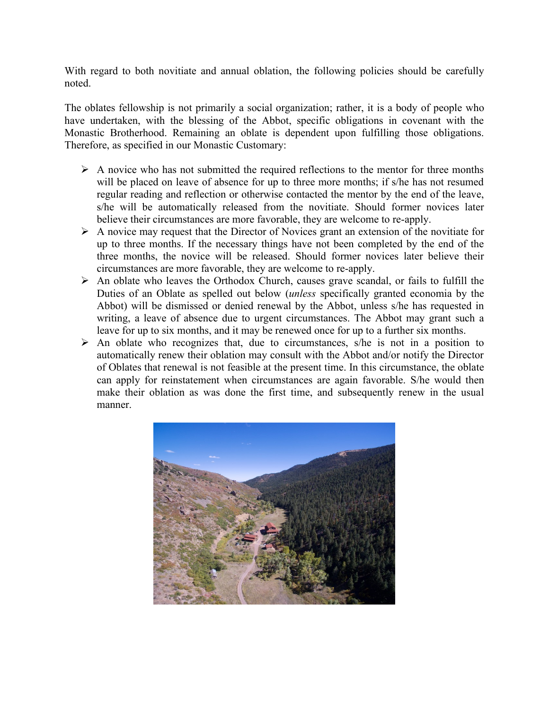With regard to both novitiate and annual oblation, the following policies should be carefully noted.

The oblates fellowship is not primarily a social organization; rather, it is a body of people who have undertaken, with the blessing of the Abbot, specific obligations in covenant with the Monastic Brotherhood. Remaining an oblate is dependent upon fulfilling those obligations. Therefore, as specified in our Monastic Customary:

- $\triangleright$  A novice who has not submitted the required reflections to the mentor for three months will be placed on leave of absence for up to three more months; if s/he has not resumed regular reading and reflection or otherwise contacted the mentor by the end of the leave, s/he will be automatically released from the novitiate. Should former novices later believe their circumstances are more favorable, they are welcome to re-apply.
- ➢ A novice may request that the Director of Novices grant an extension of the novitiate for up to three months. If the necessary things have not been completed by the end of the three months, the novice will be released. Should former novices later believe their circumstances are more favorable, they are welcome to re-apply.
- ➢ An oblate who leaves the Orthodox Church, causes grave scandal, or fails to fulfill the Duties of an Oblate as spelled out below (*unless* specifically granted economia by the Abbot) will be dismissed or denied renewal by the Abbot, unless s/he has requested in writing, a leave of absence due to urgent circumstances. The Abbot may grant such a leave for up to six months, and it may be renewed once for up to a further six months.
- $\triangleright$  An oblate who recognizes that, due to circumstances, s/he is not in a position to automatically renew their oblation may consult with the Abbot and/or notify the Director of Oblates that renewal is not feasible at the present time. In this circumstance, the oblate can apply for reinstatement when circumstances are again favorable. S/he would then make their oblation as was done the first time, and subsequently renew in the usual manner.

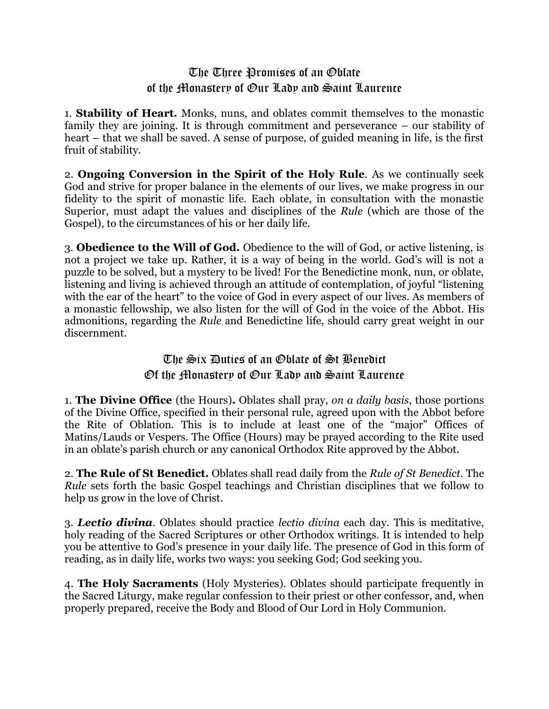# The Three Promises of an Oblate of the Monastery of Our Lady and Saint Laurence

1. **Stability of Heart.** Monks, nuns, and oblates commit themselves to the monastic family they are joining. It is through commitment and perseverance – our stability of heart – that we shall be saved. A sense of purpose, of guided meaning in life, is the first fruit of stability.

2. **Ongoing Conversion in the Spirit of the Holy Rule**. As we continually seek God and strive for proper balance in the elements of our lives, we make progress in our fidelity to the spirit of monastic life. Each oblate, in consultation with the monastic Superior, must adapt the values and disciplines of the *Rule* (which are those of the Gospel), to the circumstances of his or her daily life.

3. **Obedience to the Will of God.** Obedience to the will of God, or active listening, is not a project we take up. Rather, it is a way of being in the world. God's will is not a puzzle to be solved, but a mystery to be lived! For the Benedictine monk, nun, or oblate, listening and living is achieved through an attitude of contemplation, of joyful "listening with the ear of the heart" to the voice of God in every aspect of our lives. As members of a monastic fellowship, we also listen for the will of God in the voice of the Abbot. His admonitions, regarding the *Rule* and Benedictine life, should carry great weight in our discernment.

# The Six Duties of an Oblate of St Benedict Of the Monastery of Our Lady and Saint Laurence

1. **The Divine Office** (the Hours)**.** Oblates shall pray, *on a daily basis*, those portions of the Divine Office, specified in their personal rule, agreed upon with the Abbot before the Rite of Oblation. This is to include at least one of the "major" Offices of Matins/Lauds or Vespers. The Office (Hours) may be prayed according to the Rite used in an oblate's parish church or any canonical Orthodox Rite approved by the Abbot.

2. **The Rule of St Benedict.** Oblates shall read daily from the *Rule of St Benedict*. The *Rule* sets forth the basic Gospel teachings and Christian disciplines that we follow to help us grow in the love of Christ.

3. *Lectio divina*. Oblates should practice *lectio divina* each day. This is meditative, holy reading of the Sacred Scriptures or other Orthodox writings. It is intended to help you be attentive to God's presence in your daily life. The presence of God in this form of reading, as in daily life, works two ways: you seeking God; God seeking you.

4. **The Holy Sacraments** (Holy Mysteries). Oblates should participate frequently in the Sacred Liturgy, make regular confession to their priest or other confessor, and, when properly prepared, receive the Body and Blood of Our Lord in Holy Communion.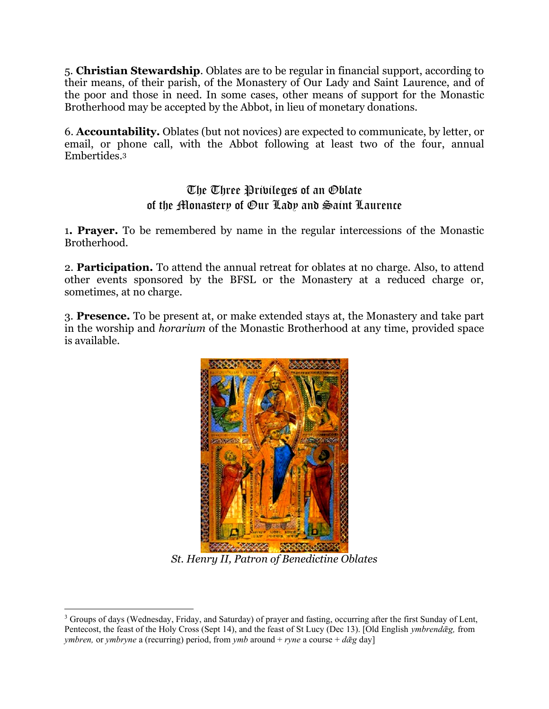5. **Christian Stewardship**. Oblates are to be regular in financial support, according to their means, of their parish, of the Monastery of Our Lady and Saint Laurence, and of the poor and those in need. In some cases, other means of support for the Monastic Brotherhood may be accepted by the Abbot, in lieu of monetary donations.

6. **Accountability.** Oblates (but not novices) are expected to communicate, by letter, or email, or phone call, with the Abbot following at least two of the four, annual Embertides. 3

# The Three Privileges of an Oblate of the Monastery of Our Lady and Saint Laurence

1**. Prayer.** To be remembered by name in the regular intercessions of the Monastic Brotherhood.

2. **Participation.** To attend the annual retreat for oblates at no charge. Also, to attend other events sponsored by the BFSL or the Monastery at a reduced charge or, sometimes, at no charge.

3. **Presence.** To be present at, or make extended stays at, the Monastery and take part in the worship and *horarium* of the Monastic Brotherhood at any time, provided space is available.



*St. Henry II, Patron of Benedictine Oblates*

<sup>3</sup> Groups of days (Wednesday, Friday, and Saturday) of prayer and fasting, occurring after the first Sunday of Lent, Pentecost, the feast of the Holy Cross (Sept 14), and the feast of St Lucy (Dec 13). [Old English *ymbrendǣg,* from *ymbren,* or *ymbryne* a (recurring) period, from *ymb* around + *ryne* a course + *dǣg* day]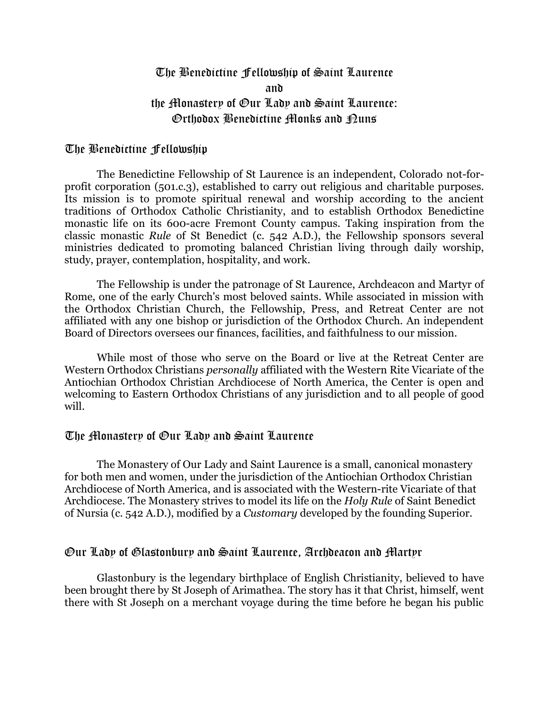# The Benedictine Fellowship of Saint Laurence and the Monastery of Our Lady and Saint Laurence: Orthodox Benedictine Monks and Nuns

## The Benedictine Fellowship

The Benedictine Fellowship of St Laurence is an independent, Colorado not-forprofit corporation (501.c.3), established to carry out religious and charitable purposes. Its mission is to promote spiritual renewal and worship according to the ancient traditions of Orthodox Catholic Christianity, and to establish Orthodox Benedictine monastic life on its 600-acre Fremont County campus. Taking inspiration from the classic monastic *Rule* [of St Benedict](http://www.ccel.org/ccel/benedict/rule2/files/rule2.html) (c. 542 A.D.), the Fellowship sponsors several ministries dedicated to promoting balanced Christian living through daily worship, study, prayer, contemplation, hospitality, and work.

The Fellowship is under the patronage of [St Laurence, Archdeacon and Martyr of](http://orthodoxwiki.org/Lawrence_of_Rome)  [Rome,](http://orthodoxwiki.org/Lawrence_of_Rome) one of the early Church's most beloved saints. While associated in mission with the Orthodox Christian Church, the Fellowship, Press, and Retreat Center are not affiliated with any one bishop or jurisdiction of the Orthodox Church. An independent Board of Directors oversees our finances, facilities, and faithfulness to our mission.

While most of those who serve on the Board or live at the Retreat Center are Western Orthodox Christians *personally* affiliated with the Western Rite Vicariate of the [Antiochian Orthodox Christian Archdiocese of North America,](http://www.antiochian.org/) the Center is open and welcoming to Eastern Orthodox Christians of any jurisdiction and to all people of good will.

## The Monastery of Our Lady and Saint Laurence

The Monastery of Our Lady and Saint Laurence is a small, canonical monastery for both men and women, under the jurisdiction of the Antiochian Orthodox Christian Archdiocese of North America, and is associated with the Western-rite Vicariate of that Archdiocese. The Monastery strives to model its life on the *Holy Rule* of Saint Benedict of Nursia (c. 542 A.D.), modified by a *Customary* developed by the founding Superior.

## Our Lady of Glastonbury and Saint Laurence, Archdeacon and Martyr

Glastonbury is the legendary birthplace of English Christianity, believed to have been brought there by St Joseph of Arimathea. The story has it that Christ, himself, went there with St Joseph on a merchant voyage during the time before he began his public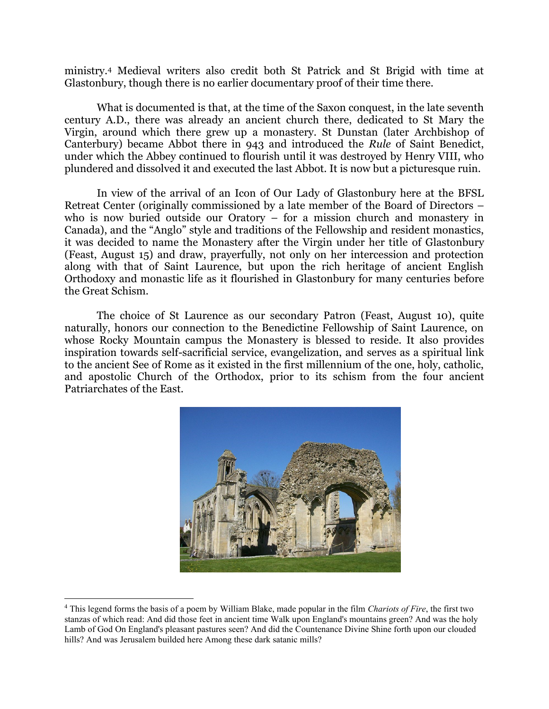ministry.<sup>4</sup> Medieval writers also credit both St Patrick and St Brigid with time at Glastonbury, though there is no earlier documentary proof of their time there.

What is documented is that, at the time of the Saxon conquest, in the late seventh century A.D., there was already an ancient church there, dedicated to St Mary the Virgin, around which there grew up a monastery. St Dunstan (later Archbishop of Canterbury) became Abbot there in 943 and introduced the *Rule* of Saint Benedict, under which the Abbey continued to flourish until it was destroyed by Henry VIII, who plundered and dissolved it and executed the last Abbot. It is now but a picturesque ruin.

In view of the arrival of an Icon of Our Lady of Glastonbury here at the BFSL Retreat Center (originally commissioned by a late member of the Board of Directors – who is now buried outside our Oratory – for a mission church and monastery in Canada), and the "Anglo" style and traditions of the Fellowship and resident monastics, it was decided to name the Monastery after the Virgin under her title of Glastonbury (Feast, August 15) and draw, prayerfully, not only on her intercession and protection along with that of Saint Laurence, but upon the rich heritage of ancient English Orthodoxy and monastic life as it flourished in Glastonbury for many centuries before the Great Schism.

The choice of St Laurence as our secondary Patron (Feast, August 10), quite naturally, honors our connection to the Benedictine Fellowship of Saint Laurence, on whose Rocky Mountain campus the Monastery is blessed to reside. It also provides inspiration towards self-sacrificial service, evangelization, and serves as a spiritual link to the ancient See of Rome as it existed in the first millennium of the one, holy, catholic, and apostolic Church of the Orthodox, prior to its schism from the four ancient Patriarchates of the East.



<sup>4</sup> This legend forms the basis of a poem by William Blake, made popular in the film *Chariots of Fire*, the first two stanzas of which read: And did those feet in ancient time Walk upon England's mountains green? And was the holy Lamb of God On England's pleasant pastures seen? And did the Countenance Divine Shine forth upon our clouded hills? And was Jerusalem builded here Among these dark satanic mills?